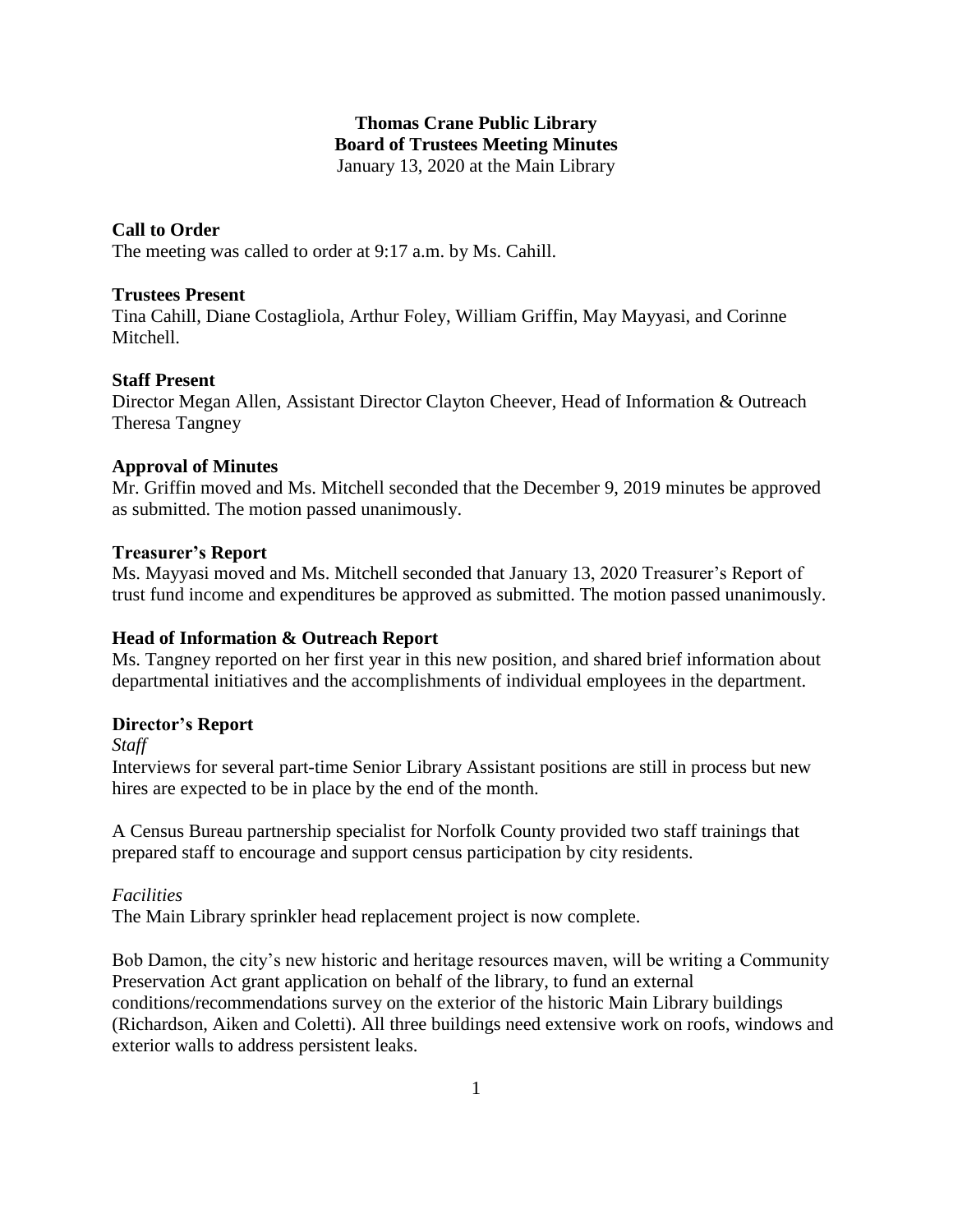## **Thomas Crane Public Library Board of Trustees Meeting Minutes** January 13, 2020 at the Main Library

# **Call to Order**

The meeting was called to order at 9:17 a.m. by Ms. Cahill.

### **Trustees Present**

Tina Cahill, Diane Costagliola, Arthur Foley, William Griffin, May Mayyasi, and Corinne Mitchell.

## **Staff Present**

Director Megan Allen, Assistant Director Clayton Cheever, Head of Information & Outreach Theresa Tangney

## **Approval of Minutes**

Mr. Griffin moved and Ms. Mitchell seconded that the December 9, 2019 minutes be approved as submitted. The motion passed unanimously.

## **Treasurer's Report**

Ms. Mayyasi moved and Ms. Mitchell seconded that January 13, 2020 Treasurer's Report of trust fund income and expenditures be approved as submitted. The motion passed unanimously.

# **Head of Information & Outreach Report**

Ms. Tangney reported on her first year in this new position, and shared brief information about departmental initiatives and the accomplishments of individual employees in the department.

# **Director's Report**

*Staff*

Interviews for several part-time Senior Library Assistant positions are still in process but new hires are expected to be in place by the end of the month.

A Census Bureau partnership specialist for Norfolk County provided two staff trainings that prepared staff to encourage and support census participation by city residents.

### *Facilities*

The Main Library sprinkler head replacement project is now complete.

Bob Damon, the city's new historic and heritage resources maven, will be writing a Community Preservation Act grant application on behalf of the library, to fund an external conditions/recommendations survey on the exterior of the historic Main Library buildings (Richardson, Aiken and Coletti). All three buildings need extensive work on roofs, windows and exterior walls to address persistent leaks.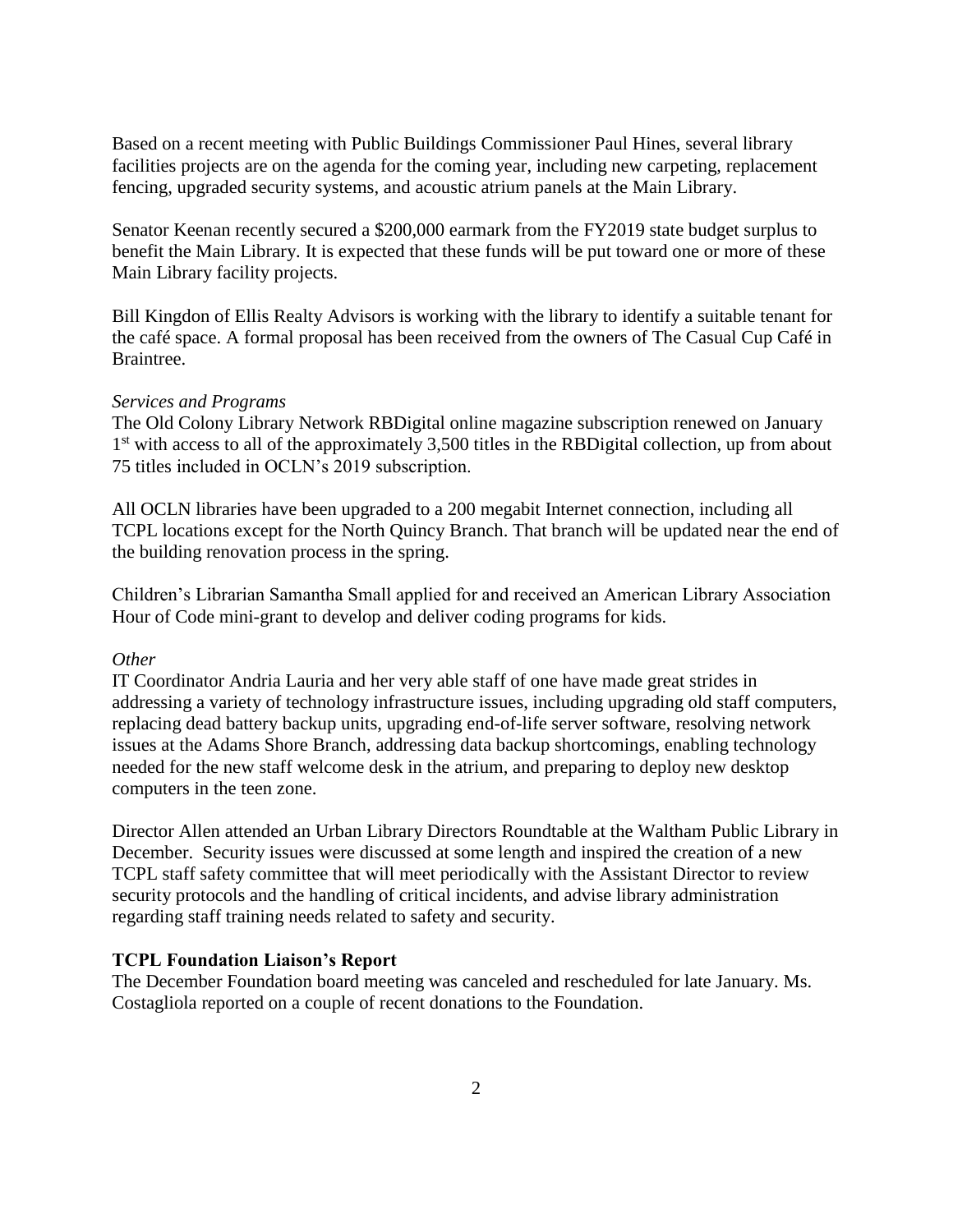Based on a recent meeting with Public Buildings Commissioner Paul Hines, several library facilities projects are on the agenda for the coming year, including new carpeting, replacement fencing, upgraded security systems, and acoustic atrium panels at the Main Library.

Senator Keenan recently secured a \$200,000 earmark from the FY2019 state budget surplus to benefit the Main Library. It is expected that these funds will be put toward one or more of these Main Library facility projects.

Bill Kingdon of Ellis Realty Advisors is working with the library to identify a suitable tenant for the café space. A formal proposal has been received from the owners of The Casual Cup Café in Braintree.

### *Services and Programs*

The Old Colony Library Network RBDigital online magazine subscription renewed on January 1<sup>st</sup> with access to all of the approximately 3,500 titles in the RBDigital collection, up from about 75 titles included in OCLN's 2019 subscription.

All OCLN libraries have been upgraded to a 200 megabit Internet connection, including all TCPL locations except for the North Quincy Branch. That branch will be updated near the end of the building renovation process in the spring.

Children's Librarian Samantha Small applied for and received an American Library Association Hour of Code mini-grant to develop and deliver coding programs for kids.

#### *Other*

IT Coordinator Andria Lauria and her very able staff of one have made great strides in addressing a variety of technology infrastructure issues, including upgrading old staff computers, replacing dead battery backup units, upgrading end-of-life server software, resolving network issues at the Adams Shore Branch, addressing data backup shortcomings, enabling technology needed for the new staff welcome desk in the atrium, and preparing to deploy new desktop computers in the teen zone.

Director Allen attended an Urban Library Directors Roundtable at the Waltham Public Library in December. Security issues were discussed at some length and inspired the creation of a new TCPL staff safety committee that will meet periodically with the Assistant Director to review security protocols and the handling of critical incidents, and advise library administration regarding staff training needs related to safety and security.

### **TCPL Foundation Liaison's Report**

The December Foundation board meeting was canceled and rescheduled for late January. Ms. Costagliola reported on a couple of recent donations to the Foundation.